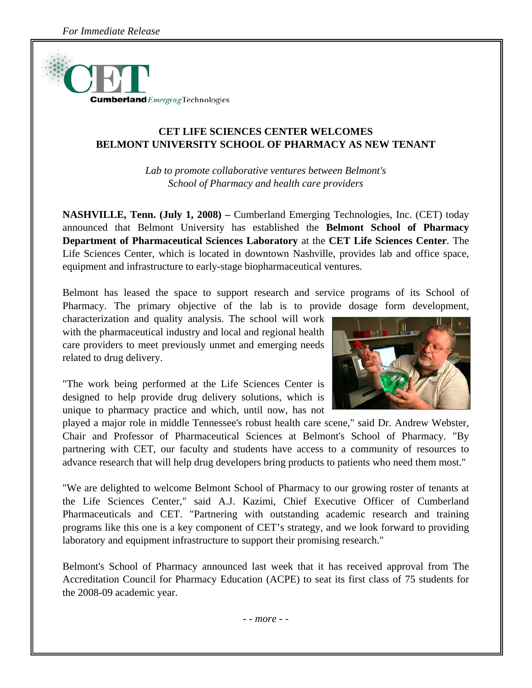

## **CET LIFE SCIENCES CENTER WELCOMES BELMONT UNIVERSITY SCHOOL OF PHARMACY AS NEW TENANT**

*Lab to promote collaborative ventures between Belmont's School of Pharmacy and health care providers* 

**NASHVILLE, Tenn. (July 1, 2008) –** Cumberland Emerging Technologies, Inc. (CET) today announced that Belmont University has established the **Belmont School of Pharmacy Department of Pharmaceutical Sciences Laboratory** at the **CET Life Sciences Center**. The Life Sciences Center, which is located in downtown Nashville, provides lab and office space, equipment and infrastructure to early-stage biopharmaceutical ventures.

Belmont has leased the space to support research and service programs of its School of Pharmacy. The primary objective of the lab is to provide dosage form development,

characterization and quality analysis. The school will work with the pharmaceutical industry and local and regional health care providers to meet previously unmet and emerging needs related to drug delivery.



"The work being performed at the Life Sciences Center is designed to help provide drug delivery solutions, which is unique to pharmacy practice and which, until now, has not

played a major role in middle Tennessee's robust health care scene," said Dr. Andrew Webster, Chair and Professor of Pharmaceutical Sciences at Belmont's School of Pharmacy. "By partnering with CET, our faculty and students have access to a community of resources to advance research that will help drug developers bring products to patients who need them most."

"We are delighted to welcome Belmont School of Pharmacy to our growing roster of tenants at the Life Sciences Center," said A.J. Kazimi, Chief Executive Officer of Cumberland Pharmaceuticals and CET. "Partnering with outstanding academic research and training programs like this one is a key component of CET's strategy, and we look forward to providing laboratory and equipment infrastructure to support their promising research."

Belmont's School of Pharmacy announced last week that it has received approval from The Accreditation Council for Pharmacy Education (ACPE) to seat its first class of 75 students for the 2008-09 academic year.